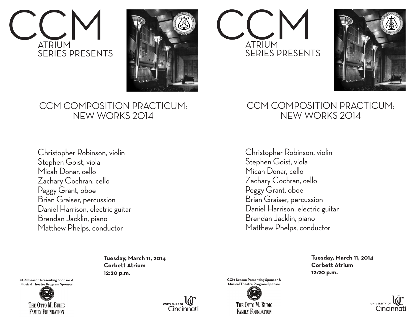



## CCM COMPOSITION PRACTICUM: NEW WORKS 2014

Christopher Robinson, violin Stephen Goist, viola Micah Donar, cello Zachary Cochran, cello Peggy Grant, oboe Brian Graiser, percussion Daniel Harrison, electric guitar Brendan Jacklin, piano Matthew Phelps, conductor

> **Tuesday, March 11, 2014 Corbett Atrium 12:20 p.m.**

**CCM Season Presenting Sponsor & Musical Theatre Program Sponsor**